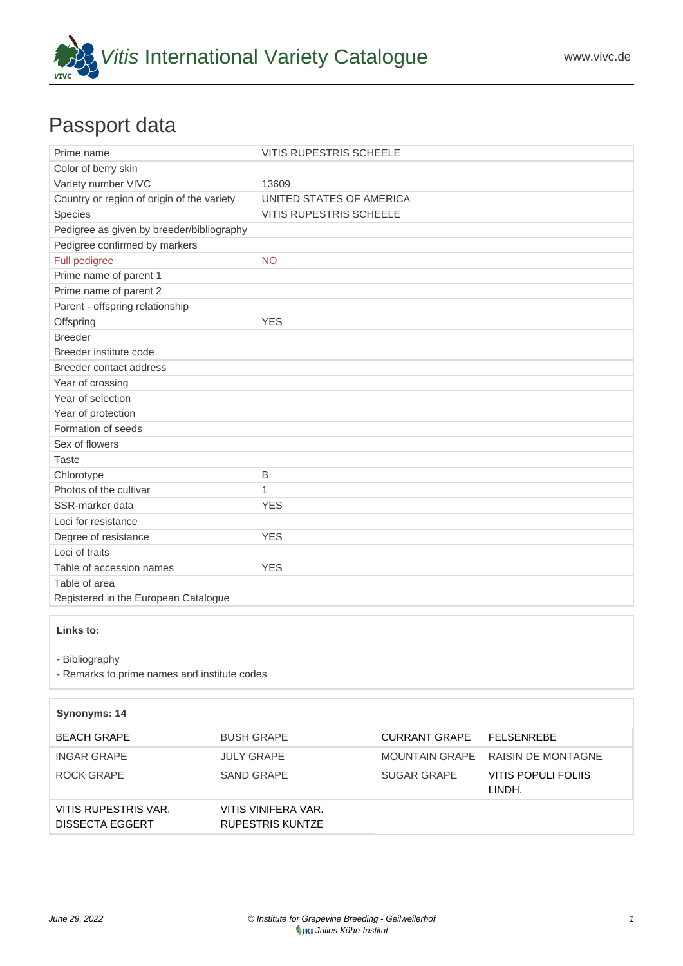

## Passport data

| Prime name                                 | <b>VITIS RUPESTRIS SCHEELE</b> |
|--------------------------------------------|--------------------------------|
| Color of berry skin                        |                                |
| Variety number VIVC                        | 13609                          |
| Country or region of origin of the variety | UNITED STATES OF AMERICA       |
| Species                                    | <b>VITIS RUPESTRIS SCHEELE</b> |
| Pedigree as given by breeder/bibliography  |                                |
| Pedigree confirmed by markers              |                                |
| Full pedigree                              | <b>NO</b>                      |
| Prime name of parent 1                     |                                |
| Prime name of parent 2                     |                                |
| Parent - offspring relationship            |                                |
| Offspring                                  | <b>YES</b>                     |
| <b>Breeder</b>                             |                                |
| Breeder institute code                     |                                |
| Breeder contact address                    |                                |
| Year of crossing                           |                                |
| Year of selection                          |                                |
| Year of protection                         |                                |
| Formation of seeds                         |                                |
| Sex of flowers                             |                                |
| <b>Taste</b>                               |                                |
| Chlorotype                                 | B                              |
| Photos of the cultivar                     | $\mathbf{1}$                   |
| SSR-marker data                            | <b>YES</b>                     |
| Loci for resistance                        |                                |
| Degree of resistance                       | <b>YES</b>                     |
| Loci of traits                             |                                |
| Table of accession names                   | <b>YES</b>                     |
| Table of area                              |                                |
| Registered in the European Catalogue       |                                |

## **Links to:**

- [Bibliography](https://www.vivc.de/index.php?r=literaturverweise%2Fbibliography&LiteraturverweiseSearch[kenn_nr2]=13609&LiteraturverweiseSearch[leitname2]=VITIS RUPESTRIS SCHEELE)

- [Remarks to prime names and institute codes](#page--1-0)

| Synonyms: 14                                   |                                         |                       |                               |
|------------------------------------------------|-----------------------------------------|-----------------------|-------------------------------|
| <b>BEACH GRAPE</b>                             | <b>BUSH GRAPE</b>                       | <b>CURRANT GRAPE</b>  | FFI SENREBE                   |
| <b>INGAR GRAPE</b>                             | <b>JULY GRAPE</b>                       | <b>MOUNTAIN GRAPE</b> | RAISIN DE MONTAGNE            |
| ROCK GRAPE                                     | <b>SAND GRAPE</b>                       | <b>SUGAR GRAPE</b>    | VITIS POPULI FOLIIS<br>LINDH. |
| VITIS RUPESTRIS VAR.<br><b>DISSECTA EGGERT</b> | VITIS VINIFERA VAR.<br>RUPESTRIS KUNTZE |                       |                               |

1